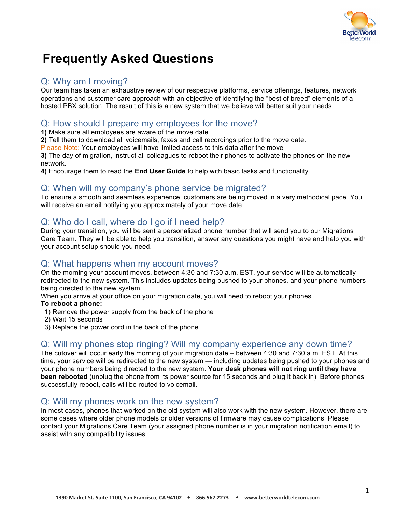

# **Frequently Asked Questions**

### Q: Why am I moving?

Our team has taken an exhaustive review of our respective platforms, service offerings, features, network operations and customer care approach with an objective of identifying the "best of breed" elements of a hosted PBX solution. The result of this is a new system that we believe will better suit your needs.

### Q: How should I prepare my employees for the move?

**1)** Make sure all employees are aware of the move date.

**2)** Tell them to download all voicemails, faxes and call recordings prior to the move date.

Please Note: Your employees will have limited access to this data after the move

**3)** The day of migration, instruct all colleagues to reboot their phones to activate the phones on the new network.

**4)** Encourage them to read the **End User Guide** to help with basic tasks and functionality.

### Q: When will my company's phone service be migrated?

To ensure a smooth and seamless experience, customers are being moved in a very methodical pace. You will receive an email notifying you approximately of your move date.

## Q: Who do I call, where do I go if I need help?

During your transition, you will be sent a personalized phone number that will send you to our Migrations Care Team. They will be able to help you transition, answer any questions you might have and help you with your account setup should you need.

### Q: What happens when my account moves?

On the morning your account moves, between 4:30 and 7:30 a.m. EST, your service will be automatically redirected to the new system. This includes updates being pushed to your phones, and your phone numbers being directed to the new system.

When you arrive at your office on your migration date, you will need to reboot your phones.

### **To reboot a phone:**

- 1) Remove the power supply from the back of the phone
- 2) Wait 15 seconds
- 3) Replace the power cord in the back of the phone

### Q: Will my phones stop ringing? Will my company experience any down time?

The cutover will occur early the morning of your migration date – between 4:30 and 7:30 a.m. EST. At this time, your service will be redirected to the new system — including updates being pushed to your phones and your phone numbers being directed to the new system. **Your desk phones will not ring until they have been rebooted** (unplug the phone from its power source for 15 seconds and plug it back in). Before phones successfully reboot, calls will be routed to voicemail.

### Q: Will my phones work on the new system?

In most cases, phones that worked on the old system will also work with the new system. However, there are some cases where older phone models or older versions of firmware may cause complications. Please contact your Migrations Care Team (your assigned phone number is in your migration notification email) to assist with any compatibility issues.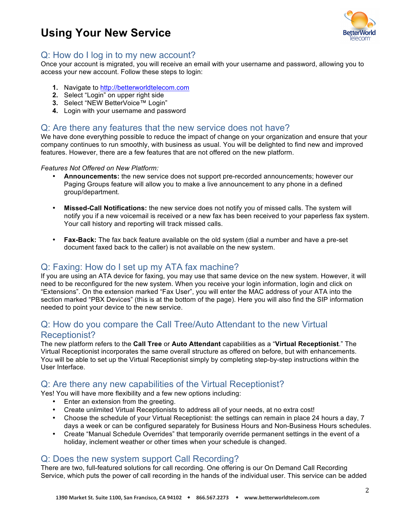## **Using Your New Service**



### Q: How do I log in to my new account?

Once your account is migrated, you will receive an email with your username and password, allowing you to access your new account. Follow these steps to login:

- **1.** Navigate to http://betterworldtelecom.com
- **2.** Select "Login" on upper right side
- **3.** Select "NEW BetterVoice™ Login"
- **4.** Login with your username and password

### Q: Are there any features that the new service does not have?

We have done everything possible to reduce the impact of change on your organization and ensure that your company continues to run smoothly, with business as usual. You will be delighted to find new and improved features. However, there are a few features that are not offered on the new platform.

#### *Features Not Offered on New Platform:*

- **Announcements:** the new service does not support pre-recorded announcements; however our Paging Groups feature will allow you to make a live announcement to any phone in a defined group/department.
- **Missed-Call Notifications:** the new service does not notify you of missed calls. The system will notify you if a new voicemail is received or a new fax has been received to your paperless fax system. Your call history and reporting will track missed calls.
- **Fax-Back:** The fax back feature available on the old system (dial a number and have a pre-set document faxed back to the caller) is not available on the new system.

## Q: Faxing: How do I set up my ATA fax machine?

If you are using an ATA device for faxing, you may use that same device on the new system. However, it will need to be reconfigured for the new system. When you receive your login information, login and click on "Extensions". On the extension marked "Fax User", you will enter the MAC address of your ATA into the section marked "PBX Devices" (this is at the bottom of the page). Here you will also find the SIP information needed to point your device to the new service.

### Q: How do you compare the Call Tree/Auto Attendant to the new Virtual Receptionist?

The new platform refers to the **Call Tree** or **Auto Attendant** capabilities as a "**Virtual Receptionist**." The Virtual Receptionist incorporates the same overall structure as offered on before, but with enhancements. You will be able to set up the Virtual Receptionist simply by completing step-by-step instructions within the User Interface.

### Q: Are there any new capabilities of the Virtual Receptionist?

Yes! You will have more flexibility and a few new options including:

- Enter an extension from the greeting.
- Create unlimited Virtual Receptionists to address all of your needs, at no extra cost!
- Choose the schedule of your Virtual Receptionist: the settings can remain in place 24 hours a day, 7 days a week or can be configured separately for Business Hours and Non-Business Hours schedules.
- Create "Manual Schedule Overrides" that temporarily override permanent settings in the event of a holiday, inclement weather or other times when your schedule is changed.

### Q: Does the new system support Call Recording?

There are two, full-featured solutions for call recording. One offering is our On Demand Call Recording Service, which puts the power of call recording in the hands of the individual user. This service can be added